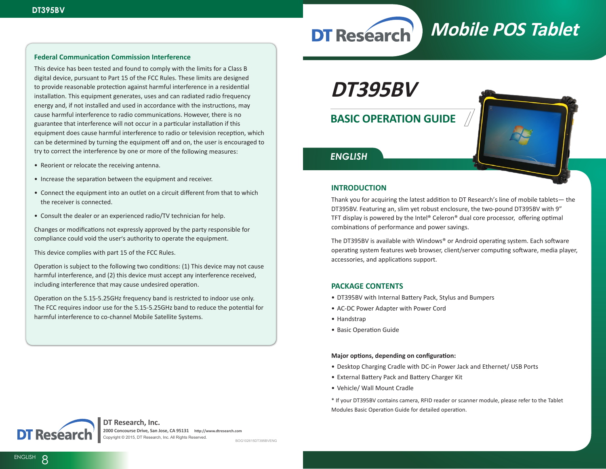# **Mobile POS Tablet DT Research**

## **Federal Communication Commission Interference**

This device has been tested and found to comply with the limits for a Class B digital device, pursuant to Part 15 of the FCC Rules. These limits are designed to provide reasonable protection against harmful interference in a residential installation. This equipment generates, uses and can radiated radio frequency energy and, if not installed and used in accordance with the instructions, may cause harmful interference to radio communications. However, there is no guarantee that interference will not occur in a particular installation if this equipment does cause harmful interference to radio or television reception, which can be determined by turning the equipment off and on, the user is encouraged to try to correct the interference by one or more of the following measures:

- Reorient or relocate the receiving antenna.
- Increase the separation between the equipment and receiver.
- Connect the equipment into an outlet on a circuit different from that to which the receiver is connected.
- Consult the dealer or an experienced radio/TV technician for help.

Changes or modifications not expressly approved by the party responsible for compliance could void the user's authority to operate the equipment.

This device complies with part 15 of the FCC Rules.

Operation is subject to the following two conditions: (1) This device may not cause harmful interference, and (2) this device must accept any interference received, including interference that may cause undesired operation.

Operation on the 5.15-5.25GHz frequency band is restricted to indoor use only. The FCC requires indoor use for the 5.15-5.25GHz band to reduce the potential for harmful interference to co-channel Mobile Satellite Systems.

**DT395BV**

**BASIC OPERATION GUIDE**



## *ENGLISH*

## **INTRODUCTION**

Thank you for acquiring the latest addition to DT Research's line of mobile tablets— the DT395BV. Featuring an, slim yet robust enclosure, the two-pound DT395BV with 9" TFT display is powered by the Intel® Celeron® dual core processor, offering optimal combinations of performance and power savings.

The DT395BV is available with Windows® or Android operating system. Each software operating system features web browser, client/server computing software, media player, accessories, and applications support.

## **PACKAGE CONTENTS**

- DT395BV with Internal Battery Pack, Stylus and Bumpers
- AC-DC Power Adapter with Power Cord
- Handstrap
- Basic Operation Guide

#### **Major options, depending on configuration:**

- Desktop Charging Cradle with DC-in Power Jack and Ethernet/ USB Ports
- External Battery Pack and Battery Charger Kit
- Vehicle/ Wall Mount Cradle
- \* If your DT395BV contains camera, RFID reader or scanner module, please refer to the Tablet Modules Basic Operation Guide for detailed operation.



## **DT Research, Inc.**

**2000 Concourse Drive, San Jose, CA 95131 http://www.dtresearch.com**  Copyright © 2015, DT Research, Inc. All Rights Reserved.

**ENGLISH signage dtri com**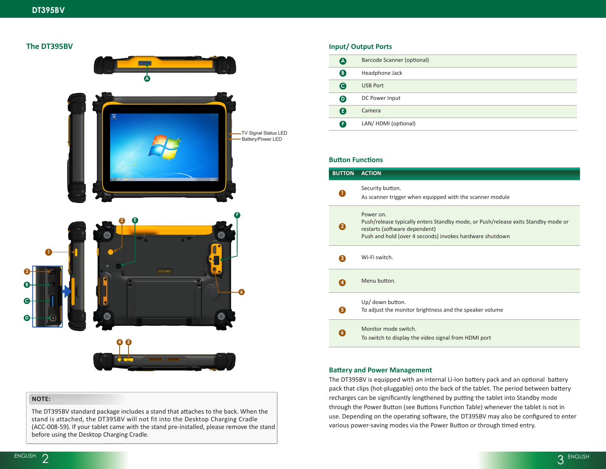## **The DT395BV**



## **NOTE:**

The DT395BV standard package includes a stand that attaches to the back. When the stand is attached, the DT395BV will not fit into the Desktop Charging Cradle (ACC-008-59). If your tablet came with the stand pre-installed, please remove the stand before using the Desktop Charging Cradle.

## **Input/ Output Ports**

| A                     | Barcode Scanner (optional) |
|-----------------------|----------------------------|
| ❸                     | Headphone Jack             |
| G                     | <b>USB Port</b>            |
| $\boldsymbol{\Theta}$ | DC Power Input             |
| G                     | Camera                     |
| ß                     | LAN/HDMI (optional)        |
|                       |                            |

## **Button Functions**

| <b>BUTTON</b>         | <b>ACTION</b>                                                                                                                                                                               |
|-----------------------|---------------------------------------------------------------------------------------------------------------------------------------------------------------------------------------------|
|                       | Security button.<br>As scanner trigger when equipped with the scanner module                                                                                                                |
| $\mathbf{2}^{\prime}$ | Power on.<br>Push/release typically enters Standby mode, or Push/release exits Standby mode or<br>restarts (software dependent)<br>Push and hold (over 4 seconds) invokes hardware shutdown |
| 3                     | Wi-Fi switch.                                                                                                                                                                               |
|                       | Menu button.                                                                                                                                                                                |
| 5)                    | Up/ down button.<br>To adjust the monitor brightness and the speaker volume                                                                                                                 |
|                       | Monitor mode switch.<br>To switch to display the video signal from HDMI port                                                                                                                |

### **Battery and Power Management**

The DT395BV is equipped with an internal Li-Ion battery pack and an optional battery pack that clips (hot-pluggable) onto the back of the tablet. The period between battery recharges can be significantly lengthened by putting the tablet into Standby mode through the Power Button (see Buttons Function Table) whenever the tablet is not in use. Depending on the operating software, the DT395BV may also be configured to enter various power-saving modes via the Power Button or through timed entry.

**C**

**B**

**3**

**D**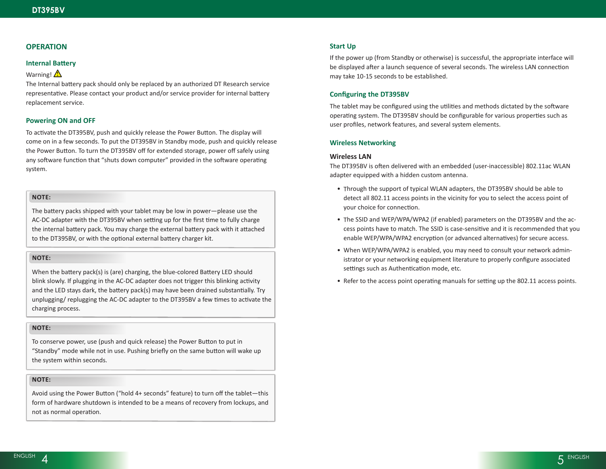## **OPERATION**

#### **Internal Battery**

#### Warning!

The Internal battery pack should only be replaced by an authorized DT Research service representative. Please contact your product and/or service provider for internal battery replacement service.

### **Powering ON and OFF**

To activate the DT395BV, push and quickly release the Power Button. The display will come on in a few seconds. To put the DT395BV in Standby mode, push and quickly release the Power Button. To turn the DT395BV off for extended storage, power off safely using any software function that "shuts down computer" provided in the software operating system.

## **NOTE:**

The battery packs shipped with your tablet may be low in power—please use the AC-DC adapter with the DT395BV when setting up for the first time to fully charge the internal battery pack. You may charge the external battery pack with it attached to the DT395BV, or with the optional external battery charger kit.

## **NOTE:**

When the battery pack(s) is (are) charging, the blue-colored Battery LED should blink slowly. If plugging in the AC-DC adapter does not trigger this blinking activity and the LED stays dark, the battery pack(s) may have been drained substantially. Try unplugging/ replugging the AC-DC adapter to the DT395BV a few times to activate the charging process.

## **NOTE:**

To conserve power, use (push and quick release) the Power Button to put in "Standby" mode while not in use. Pushing briefly on the same button will wake up the system within seconds.

## **NOTE:**

Avoid using the Power Button ("hold 4+ seconds" feature) to turn off the tablet—this form of hardware shutdown is intended to be a means of recovery from lockups, and not as normal operation.

#### **Start Up**

If the power up (from Standby or otherwise) is successful, the appropriate interface will be displayed after a launch sequence of several seconds. The wireless LAN connection may take 10-15 seconds to be established.

#### **Configuring the DT395BV**

The tablet may be configured using the utilities and methods dictated by the software operating system. The DT395BV should be configurable for various properties such as user profiles, network features, and several system elements.

#### **Wireless Networking**

#### **Wireless LAN**

The DT395BV is often delivered with an embedded (user-inaccessible) 802.11ac WLAN adapter equipped with a hidden custom antenna.

- Through the support of typical WLAN adapters, the DT395BV should be able to detect all 802.11 access points in the vicinity for you to select the access point of your choice for connection.
- The SSID and WEP/WPA/WPA2 (if enabled) parameters on the DT395BV and the access points have to match. The SSID is case-sensitive and it is recommended that you enable WEP/WPA/WPA2 encryption (or advanced alternatives) for secure access.
- When WEP/WPA/WPA2 is enabled, you may need to consult your network administrator or your networking equipment literature to properly configure associated settings such as Authentication mode, etc.
- Refer to the access point operating manuals for setting up the 802.11 access points.